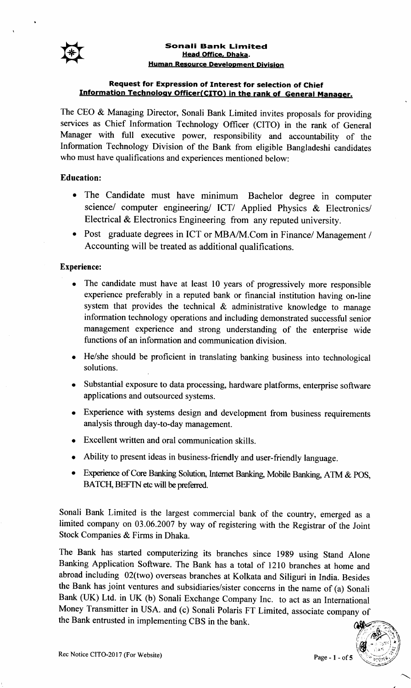

#### Sonali Bank Limited Head Office, Dhaka. Human Resource Develooment Division

# Request for Expression of Interest for selection of Chief Information Technology Officer(CITO) in the rank of General Manager.

The CEO & Managing Director, Sonali Bank Limited invites proposals for providing services as Chief Information Technology Officer (CITO) in the rank of General Manager with full executive power, responsibility and accountability of the Information Technology Division of the Bank from eligible Bangladeshi candidates who must have qualifications and experiences mentioned below:

# Education:

- . The Candidate must have minimum Bachelor degree in computer science/ computer engineering/ ICT/ Applied Physics & Electronics/ Electrical & Electronics Engineering from any reputed university.
- o Post graduate degrees in ICT or MBA/M.Com in Finance/ Management / Accounting will be treated as additional qualifications.

### Experience:

- The candidate must have at least 10 years of progressively more responsible experience preferably in a reputed bank or financial institution having on-line system that provides the technical  $\&$  administrative knowledge to manage information technology operations and including demonstrated successful senior management experience and strong understanding of the enterprise wide functions of an information and communication division.
- He/she should be proficient in translating banking business into technological solutions.
- o Substantial exposure to data processing, hardware platforms, enterprise software applications and outsourced systems.
- o Experience with systems design and development from business requirements analysis through day-to-day management.
- o Excellent written and oral communication skills.
- o Ability to present ideas in business-friendly and user-friendly language.
- Experience of Core Banking Solution, Internet Banking, Mobile Banking, ATM & POS, BATCH, BEFTN etc will be preferred.

Sonali Bank Limited is the largest commercial bank of the country, emerged as <sup>a</sup> limited company on 03.06.2007 by way of registering with the Registrar of the Joint Stock Companies & Firms in Dhaka.

The Bank has started computerizing its branches since 1989 using Stand Alone Banking Application Software. The Bank has a total of 1210 branches at home and abroad including 02(two) overseas branches at Kolkata and Siliguri in India. Besides the Bank has joint ventures and subsidiaries/sister concerns in the name of (a) Sonali Bank (UK) Ltd. in UK (b) Sonali Exchange Company Inc. to act as an International Money Transmitter in USA. and (c) Sonali Polaris FT Limited, associate company of the Bank entrusted in implementing CBS in the bank.

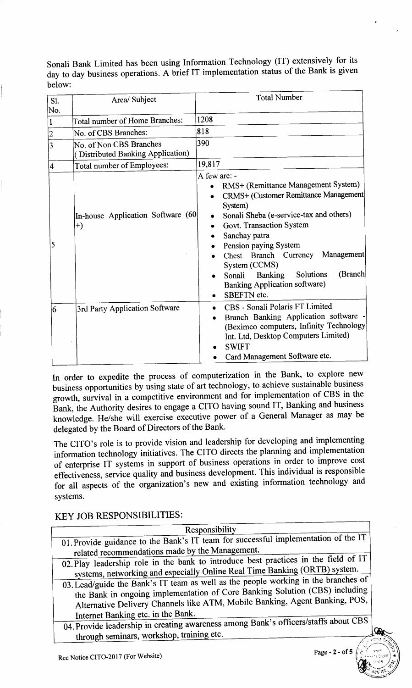Sonali Bank Limited has been using Information Technology (IT) extensively for its day to day business operations. A brief IT implementation status of the Bank is given below:

| Sl.                              | Area/ Subject                                                                        | <b>Total Number</b>                                                                                                                                                                                                                                                                                                                                                                |
|----------------------------------|--------------------------------------------------------------------------------------|------------------------------------------------------------------------------------------------------------------------------------------------------------------------------------------------------------------------------------------------------------------------------------------------------------------------------------------------------------------------------------|
| No.<br>$\vert$ 1                 | Total number of Home Branches:                                                       | 1208                                                                                                                                                                                                                                                                                                                                                                               |
| $\overline{2}$<br>$\overline{3}$ | No. of CBS Branches:<br>No. of Non CBS Branches<br>(Distributed Banking Application) | 818<br>390                                                                                                                                                                                                                                                                                                                                                                         |
| 4                                | Total number of Employees:                                                           | 19,817                                                                                                                                                                                                                                                                                                                                                                             |
| 5                                | In-house Application Software (60<br>$+)$                                            | A few are: -<br>RMS+ (Remittance Management System)<br>CRMS+ (Customer Remittance Management)<br>System)<br>Sonali Sheba (e-service-tax and others)<br>Govt. Transaction System<br>Sanchay patra<br>Pension paying System<br>Management<br>Chest Branch Currency<br>System (CCMS)<br>(Branch<br>Solutions<br>Sonali Banking<br><b>Banking Application software)</b><br>SBEFTN etc. |
| $6\overline{6}$                  | 3rd Party Application Software                                                       | CBS - Sonali Polaris FT Limited<br>Branch Banking Application software -<br>(Beximco computers, Infinity Technology<br>Int. Ltd, Desktop Computers Limited)<br><b>SWIFT</b><br>Card Management Software etc.                                                                                                                                                                       |

In order to expedite the process of computerization in the Bank, to explore new business opportunities by using state of art technology, to achieve sustainable business growth, survival in a competitive environment and for implementation of CBS in the Bank, the Authority desires to engage a CITO having sound IT, Banking and business knowledge. He/she will exercise executive power of a General Manager as may be delegated by the Board of Directors of the Bank.

The CITO's role is to provide vision and leadership for developing and implementing information technology initiatives. The CITO directs the planning and implementation of enterprise IT systems in support of business operations in order to improve cost effectiveness, service quality and business development. This individual is responsible for all aspects of the organization's new and existing information technology and systems.

# KEY JOB RESPONSIBILITIES:

| Responsibility                                                                      |  |  |
|-------------------------------------------------------------------------------------|--|--|
| 01. Provide guidance to the Bank's IT team for successful implementation of the IT  |  |  |
| related recommendations made by the Management.                                     |  |  |
| 02. Play leadership role in the bank to introduce best practices in the field of IT |  |  |
| systems, networking and especially Online Real Time Banking (ORTB) system.          |  |  |
| 03. Lead/guide the Bank's IT team as well as the people working in the branches of  |  |  |
| the Bank in ongoing implementation of Core Banking Solution (CBS) including         |  |  |
| Alternative Delivery Channels like ATM, Mobile Banking, Agent Banking, POS,         |  |  |
| Internet Banking etc. in the Bank.                                                  |  |  |
| 04. Provide leadership in creating awareness among Bank's officers/staffs about CBS |  |  |
| through seminars, workshop, training etc.                                           |  |  |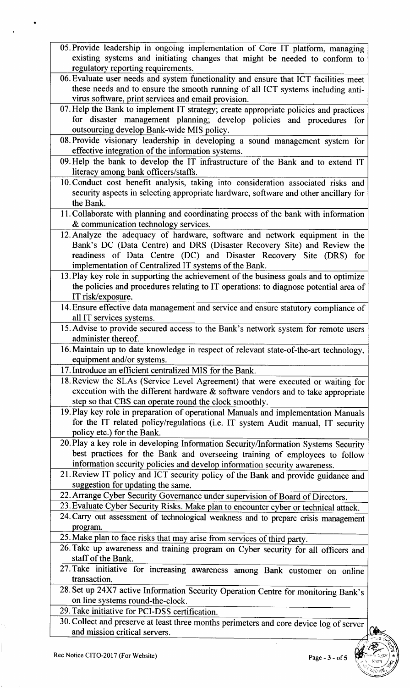- 05.Provide leadership in ongoing implementation of Core IT platform, managing existing systems and initiating changes that might be needed to conform to regulatory reporting requirements.
- 06. Evaluate user needs and system functionality and ensure that ICT facilities meet these needs and to ensure the smooth running of all ICT systems including antivirus software, print services and email
- 07. Help the Bank to implement IT strategy; create appropriate policies and practices for disaster management planning; develop policies and procedures for outsourcing develop Bank-wide MIS poli
- 08. Provide visionary leadership in developing a sound management system for effective integration of the information systems.
- 09. Help the bank to develop the IT infrastructure of the Bank and to extend IT literacy among bank officers/staffs.
- l0.Conduct cost benefit analysis, taking into consideration associated risks and security aspects in selecting appropriate hardware, software and other ancillary for the Bank.
- 11. Collaborate with planning and coordinating process of the bank with information & communication technology services.
- 12. Analyze the adequacy of hardware, software and network equipment in the Bank's DC (Data Centre) and DRS (Disaster Recovery Site) and Review the readiness of Data Centre (DC) and Disaster Recovery Site (DRS) for implementation of Centralized IT systems of the Bank.
- l3.Play key role in supporting the achievement of the business goals and to optimize the policies and procedures relating to IT operations: to diagnose potential area of IT risk/exposure.
- 14. Ensure effective data management and service and ensure statutory compliance of all IT services systems.
- 15.Advise to provide secured access to the Bank's network system for remote users administer thereof.
- l6.Maintain up to date knowledge in respect of relevant state-of-the-art technology, equipment and/or systems.
- 17. Introduce an efficient centralized MIS for the Bank.
- lS.Review the SLAs (Service Level Agreement) that were executed or waiting for execution with the different hardware  $\&$  software vendors and to take appropriate step so that CBS can operate round the clock smoothly.
- l9.Play key role in preparation of operational Manuals and implementation Manuals for the IT related policy/regulations (i.e. IT system Audit manual, IT security policy etc.) for the Bank.
- 20. Play a key role in developing Information Security/Information Systems Security best practices for the Bank and overseeing training of employees to follow information security policies and develop information security awareness.
- 2l.Review IT policy and ICT security policy of the Bank and provide guidance and suggestion for updating the same.
- 22.Arrange Cyber Security Governance under supervision of Board of Directors.
- 23. Evaluate Cyber Security Risks. Make plan to encounter cyber or technical attack.
- 24. Carry out assessment of technological weakness and to prepare crisis management program.
- 25. Make plan to face risks that may arise from services of third party.
- 26. Take up awareness and training program on Cyber security for all officers and staff of the Bank.
- 27. Take initiative for increasing awareness among Bank customer on online transaction. transaction.
- 28. Set up 24X7 active Information Security Operation Centre for monitoring Bank's on line systems round-the-clock.
- 29.Take initiative for PCI-DSS certification.
- 30. Collect and preserve at least three months perimeters and core device log of server and mission critical servers.

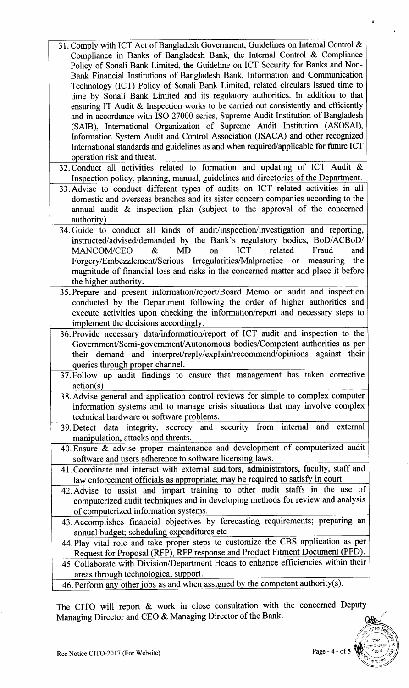- 31. Comply with ICT Act of Bangladesh Government, Guidelines on Internal Confrol & Compliance in Banks of Bangladesh Bank, the Intemal Control & Compliance Policy of Sonali Bank Limited, the Guideline on ICT Security for Banks and Non-Bank Financial Institutions of Bangladesh Bank, Information and Communication Technology (ICT) Policy of Sonali Bank Limited, related circulars issued time to time by Sonali Bank Limited and its regulatory authorities. In addition to that ensuring IT Audit  $\&$  Inspection works to be carried out consistently and efficiently and in accordance with ISO 27000 series, Supreme Audit Institution of Bangladesh (SAIB), Intemational Organization of Supreme Audit Institution (ASOSAI), Information System Audit and Control Association (ISACA) and other recognized International standards and guidelines as and when required/applicable for future ICT operation risk and threat.
- 32. Conduct all activities related to formation and updating of ICT Audit & Inspection policy, planning, manual, guidelines and directories of the Department.
- 33.Advise to conduct different types of audits on ICT related activities in all domestic and overseas branches and its sister eoncern companies according to the annual audit  $\&$  inspection plan (subject to the approval of the concerned authority)
- 34. Guide to conduct all kinds of audit/inspection/investigation and reporting, instructed/advised/demanded by the Bank's regulatory bodies, BoD/ACBoD/  $MANCOM/CEO$  &  $MD$  on  $ICT$  related Fraud and MANCOM/CEO & MD on ICT related Fraud and<br>Forgery/Embezzlement/Serious Irregularities/Malpractice or measuring the magnitude of financial loss and risks in the concerned matter and place it before the higher authority.
- 35. Prepare and present information/report/Board Memo on audit and inspection conducted by the Department following the order of higher authorities and execute activities upon checking the information/report and necessary steps to implement the decisions accordingly.
- 36.Provide necessary datalinformation/report of ICT audit and inspection to the Government/Semi-government/Autonomous bodies/Competent authorities as per their demand and interpret/reply/explain/recommend/opinions against their queries through proper channel.
- 37.Follow up audit findings to ensure that management has taken corrective action(s).
- 38.Advise general and application control reviews for simple to complex computer information systems and to manage crisis situations that may involve complex technical hardware or software problems.
- 39. Detect data integrity, secrecy and security from internal and external manipulation, attacks and threats.
- 40. Ensure & advise proper maintenance and development of computerized audit software and users adherence to software licensing laws.
- 4l.Coordinate and interact with external auditors, administrators, faculty, staff and law enforcement officials as appropriate; may be required to satisfy in court.
- 42. Advise to assist and impart training to other audit staffs in the use of computerized audit techniques and in developing methods for review and analysis of computerized information systems.
- 43. Accomplishes financial objectives by forecasting requirements; preparing an annual budget; scheduling expenditures etc
- 44. Play vital role and take proper steps to customize the CBS application as per Request for Proposal (RFP), RFP response and Product Fitment Document (PFD).
- 45. Collaborate with Division/Department Heads to enhance efficiencies within their areas through technological support.
- 46. Perform any other jobs as and when assigned by the competent authority(s).

The CITO will report & work in close consultation with the concerned Deputy Managing Director and CEO & Managing Director of the Bank. УĄ